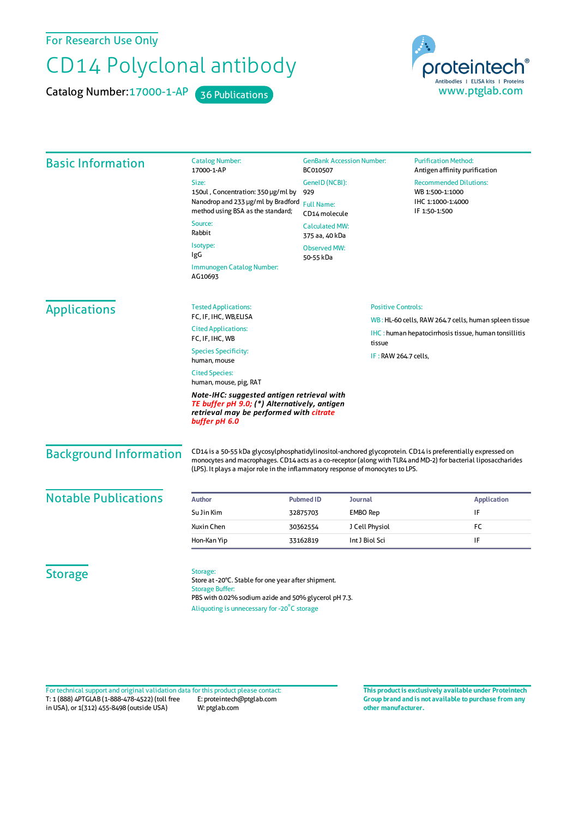For Research Use Only

## CD14 Polyclonal antibody

Catalog Number: 17000-1-AP 36 Publications



| <b>Basic Information</b>      | <b>Catalog Number:</b><br>17000-1-AP                                                                                                                                                                                                                                                                            | <b>GenBank Accession Number:</b><br>BC010507 |                | <b>Purification Method:</b><br>Antigen affinity purification |  |
|-------------------------------|-----------------------------------------------------------------------------------------------------------------------------------------------------------------------------------------------------------------------------------------------------------------------------------------------------------------|----------------------------------------------|----------------|--------------------------------------------------------------|--|
|                               | Size:                                                                                                                                                                                                                                                                                                           | GenelD (NCBI):                               |                | <b>Recommended Dilutions:</b>                                |  |
|                               | 150ul, Concentration: 350 µg/ml by                                                                                                                                                                                                                                                                              | 929<br><b>Full Name:</b>                     |                | WB 1:500-1:1000<br>IHC 1:1000-1:4000<br>IF 1:50-1:500        |  |
|                               | Nanodrop and 233 µg/ml by Bradford<br>method using BSA as the standard;                                                                                                                                                                                                                                         |                                              |                |                                                              |  |
|                               | Source:                                                                                                                                                                                                                                                                                                         | CD14 molecule<br><b>Calculated MW:</b>       |                |                                                              |  |
|                               | Rabbit<br>Isotype:                                                                                                                                                                                                                                                                                              | 375 aa, 40 kDa                               |                |                                                              |  |
|                               |                                                                                                                                                                                                                                                                                                                 | <b>Observed MW:</b>                          |                |                                                              |  |
|                               | IgG                                                                                                                                                                                                                                                                                                             | 50-55 kDa                                    |                |                                                              |  |
|                               | Immunogen Catalog Number:<br>AG10693                                                                                                                                                                                                                                                                            |                                              |                |                                                              |  |
| <b>Applications</b>           | <b>Tested Applications:</b>                                                                                                                                                                                                                                                                                     | <b>Positive Controls:</b>                    |                |                                                              |  |
|                               | FC, IF, IHC, WB, ELISA                                                                                                                                                                                                                                                                                          |                                              |                | WB: HL-60 cells, RAW 264.7 cells, human spleen tissue        |  |
|                               | <b>Cited Applications:</b><br>FC, IF, IHC, WB<br>tissue                                                                                                                                                                                                                                                         |                                              |                | <b>IHC</b> : human hepatocirrhosis tissue, human tonsillitis |  |
|                               | <b>Species Specificity:</b><br>IF: RAW 264.7 cells,<br>human, mouse                                                                                                                                                                                                                                             |                                              |                |                                                              |  |
|                               | <b>Cited Species:</b><br>human, mouse, pig, RAT                                                                                                                                                                                                                                                                 |                                              |                |                                                              |  |
|                               | Note-IHC: suggested antigen retrieval with<br>TE buffer pH 9.0; (*) Alternatively, antigen<br>retrieval may be performed with citrate<br>buffer pH 6.0                                                                                                                                                          |                                              |                |                                                              |  |
| <b>Background Information</b> | CD14 is a 50-55 kDa glycosylphosphatidylinositol-anchored glycoprotein. CD14 is preferentially expressed on<br>monocytes and macrophages. CD14 acts as a co-receptor (along with TLR4 and MD-2) for bacterial liposaccharides<br>(LPS). It plays a major role in the inflammatory response of monocytes to LPS. |                                              |                |                                                              |  |
| <b>Notable Publications</b>   | <b>Author</b>                                                                                                                                                                                                                                                                                                   | <b>Pubmed ID</b><br><b>Journal</b>           |                | <b>Application</b>                                           |  |
|                               | Su Jin Kim                                                                                                                                                                                                                                                                                                      | <b>EMBO Rep</b><br>32875703                  |                | IF                                                           |  |
|                               | Xuxin Chen                                                                                                                                                                                                                                                                                                      | 30362554                                     | J Cell Physiol | FC                                                           |  |
|                               | Hon-Kan Yip                                                                                                                                                                                                                                                                                                     | Int J Biol Sci<br>33162819                   |                | IF                                                           |  |
| <b>Storage</b>                | Storage:<br>Store at -20°C. Stable for one year after shipment.<br><b>Storage Buffer:</b>                                                                                                                                                                                                                       |                                              |                |                                                              |  |
|                               | PBS with 0.02% sodium azide and 50% glycerol pH 7.3.<br>Aliquoting is unnecessary for -20°C storage                                                                                                                                                                                                             |                                              |                |                                                              |  |

T: 1 (888) 4PTGLAB (1-888-478-4522) (toll free in USA), or 1(312) 455-8498 (outside USA) E: proteintech@ptglab.com W: ptglab.com Fortechnical support and original validation data forthis product please contact: **This productis exclusively available under Proteintech**

**Group brand and is not available to purchase from any other manufacturer.**